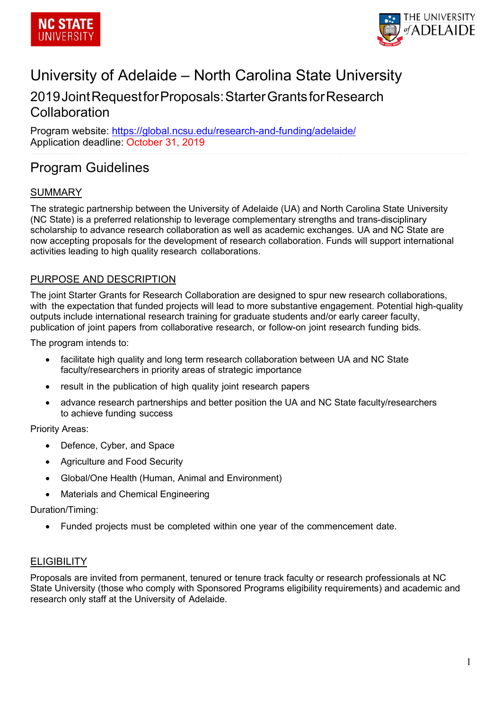



# University of Adelaide – North Carolina State University

## 2019JointRequestforProposals:StarterGrantsforResearch **Collaboration**

Program website:<https://global.ncsu.edu/research-and-funding/adelaide/> Application deadline: October 31, 2019

# Program Guidelines

## SUMMARY

The strategic partnership between the University of Adelaide (UA) and North Carolina State University (NC State) is a preferred relationship to leverage complementary strengths and trans-disciplinary scholarship to advance research collaboration as well as academic exchanges. UA and NC State are now accepting proposals for the development of research collaboration. Funds will support international activities leading to high quality research collaborations.

#### PURPOSE AND DESCRIPTION

The joint Starter Grants for Research Collaboration are designed to spur new research collaborations, with the expectation that funded projects will lead to more substantive engagement. Potential high-quality outputs include international research training for graduate students and/or early career faculty, publication of joint papers from collaborative research, or follow-on joint research funding bids.

The program intends to:

- facilitate high quality and long term research collaboration between UA and NC State faculty/researchers in priority areas of strategic importance
- result in the publication of high quality joint research papers
- advance research partnerships and better position the UA and NC State faculty/researchers to achieve funding success

Priority Areas:

- Defence, Cyber, and Space
- Agriculture and Food Security
- Global/One Health (Human, Animal and Environment)
- Materials and Chemical Engineering

Duration/Timing:

• Funded projects must be completed within one year of the commencement date.

#### **ELIGIBILITY**

Proposals are invited from permanent, tenured or tenure track faculty or research professionals at NC State University (those who comply with Sponsored Programs eligibility requirements) and academic and research only staff at the University of Adelaide.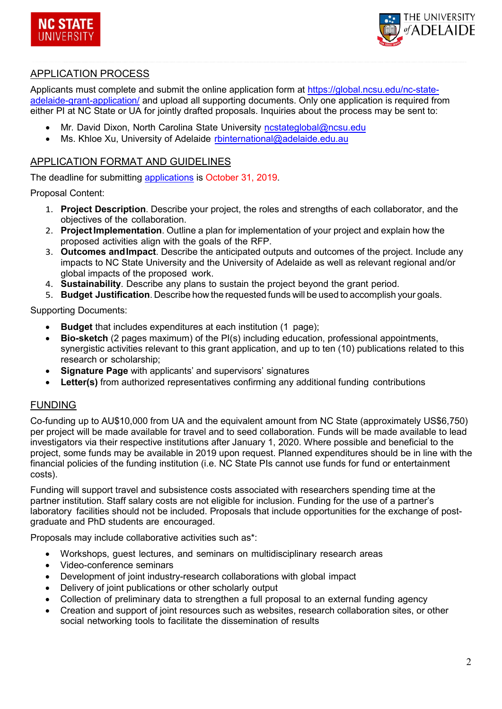



#### APPLICATION PROCESS

Applicants must complete and submit the online application form at [https://global.ncsu.edu/nc-state](https://global.ncsu.edu/nc-state-adelaide-grant-application/)[adelaide-grant-application/](https://global.ncsu.edu/nc-state-adelaide-grant-application/) and upload all supporting documents. Only one application is required from either PI at NC State or UA for jointly drafted proposals. Inquiries about the process may be sent to:

- Mr. David Dixon, North Carolina State University nostateglobal@ncsu.edu
- Ms. Khloe Xu, University of Adelaide [rbinternational@adelaide.ed](mailto:rbinternational@adelaide.edu.au)u.au

#### APPLICATION FORMAT AND GUIDELINES

The deadline for submitting [applications](https://global.ncsu.edu/nc-state-adelaide-grant-application/) is October 31, 2019.

Proposal Content:

- 1. **Project Description**. Describe your project, the roles and strengths of each collaborator, and the objectives of the collaboration.
- 2. **ProjectImplementation**. Outline a plan for implementation of your project and explain how the proposed activities align with the goals of the RFP.
- 3. **Outcomes andImpact**. Describe the anticipated outputs and outcomes of the project. Include any impacts to NC State University and the University of Adelaide as well as relevant regional and/or global impacts of the proposed work.
- 4. **Sustainability**. Describe any plans to sustain the project beyond the grant period.
- 5. **Budget Justification**. Describe how the requested funds will be used to accomplish your goals.

Supporting Documents:

- **Budget** that includes expenditures at each institution (1 page);
- **Bio-sketch** (2 pages maximum) of the PI(s) including education, professional appointments, synergistic activities relevant to this grant application, and up to ten (10) publications related to this research or scholarship;
- **Signature Page** with applicants' and supervisors' signatures
- **Letter(s)** from authorized representatives confirming any additional funding contributions

## FUNDING

Co-funding up to AU\$10,000 from UA and the equivalent amount from NC State (approximately US\$6,750) per project will be made available for travel and to seed collaboration. Funds will be made available to lead investigators via their respective institutions after January 1, 2020. Where possible and beneficial to the project, some funds may be available in 2019 upon request. Planned expenditures should be in line with the financial policies of the funding institution (i.e. NC State PIs cannot use funds for fund or entertainment costs).

Funding will support travel and subsistence costs associated with researchers spending time at the partner institution. Staff salary costs are not eligible for inclusion. Funding for the use of a partner's laboratory facilities should not be included. Proposals that include opportunities for the exchange of postgraduate and PhD students are encouraged.

Proposals may include collaborative activities such as\*:

- Workshops, guest lectures, and seminars on multidisciplinary research areas
- Video-conference seminars
- Development of joint industry-research collaborations with global impact
- Delivery of joint publications or other scholarly output
- Collection of preliminary data to strengthen a full proposal to an external funding agency
- Creation and support of joint resources such as websites, research collaboration sites, or other social networking tools to facilitate the dissemination of results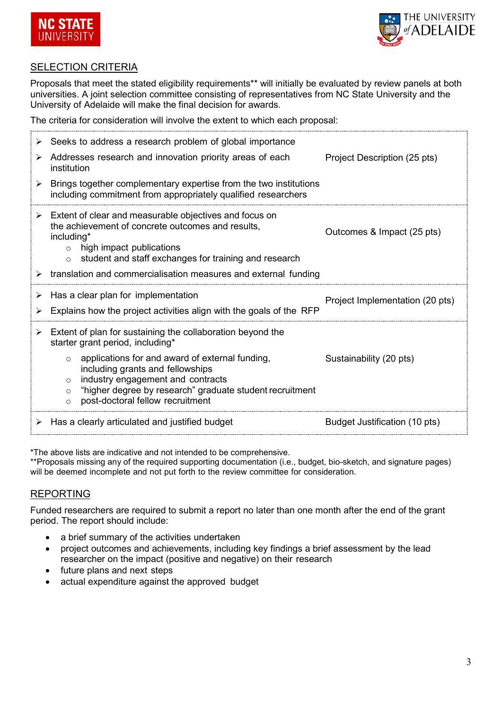



## SELECTION CRITERIA

Proposals that meet the stated eligibility requirements\*\* will initially be evaluated by review panels at both universities. A joint selection committee consisting of representatives from NC State University and the University of Adelaide will make the final decision for awards.

The criteria for consideration will involve the extent to which each proposal:

| ➤<br>➤ | Seeks to address a research problem of global importance<br>Addresses research and innovation priority areas of each<br>institution                                                                                                                                                                                                                                                     | Project Description (25 pts)    |
|--------|-----------------------------------------------------------------------------------------------------------------------------------------------------------------------------------------------------------------------------------------------------------------------------------------------------------------------------------------------------------------------------------------|---------------------------------|
|        | Brings together complementary expertise from the two institutions<br>including commitment from appropriately qualified researchers                                                                                                                                                                                                                                                      |                                 |
|        | $\triangleright$ Extent of clear and measurable objectives and focus on<br>the achievement of concrete outcomes and results,<br>including*<br>high impact publications<br>$\Omega$<br>student and staff exchanges for training and research<br>$\circ$<br>$\triangleright$ translation and commercialisation measures and external funding                                              | Outcomes & Impact (25 pts)      |
| ➤      | Has a clear plan for implementation<br>Explains how the project activities align with the goals of the RFP                                                                                                                                                                                                                                                                              | Project Implementation (20 pts) |
|        |                                                                                                                                                                                                                                                                                                                                                                                         |                                 |
|        | $\triangleright$ Extent of plan for sustaining the collaboration beyond the<br>starter grant period, including*<br>applications for and award of external funding,<br>$\circ$<br>including grants and fellowships<br>industry engagement and contracts<br>$\circ$<br>"higher degree by research" graduate student recruitment<br>$\circ$<br>post-doctoral fellow recruitment<br>$\circ$ | Sustainability (20 pts)         |

\*The above lists are indicative and not intended to be comprehensive.

\*\*Proposals missing any of the required supporting documentation (i.e., budget, bio-sketch, and signature pages) will be deemed incomplete and not put forth to the review committee for consideration.

## REPORTING

Funded researchers are required to submit a report no later than one month after the end of the grant period. The report should include:

- a brief summary of the activities undertaken
- project outcomes and achievements, including key findings a brief assessment by the lead researcher on the impact (positive and negative) on their research
- future plans and next steps
- actual expenditure against the approved budget